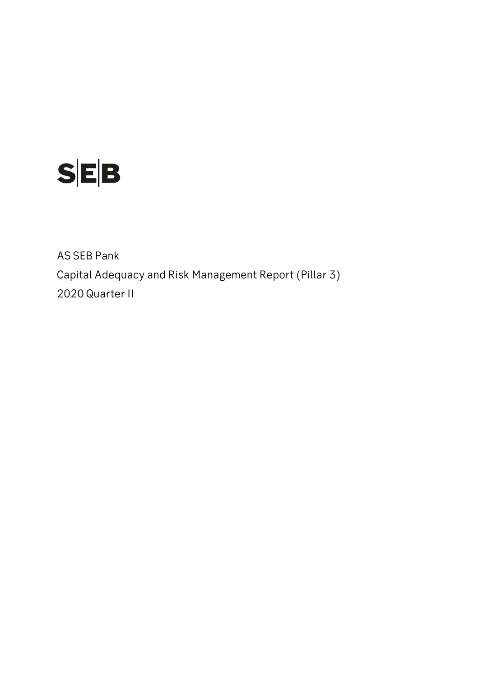

AS SEB Pank Capital Adequacy and Risk Management Report (Pillar 3) 2020 Quarter II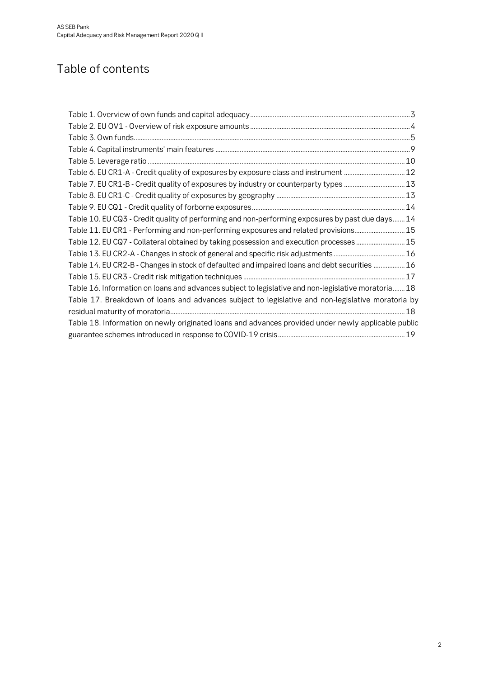# Table of contents

| Table 6. EU CR1-A - Credit quality of exposures by exposure class and instrument  12                |  |
|-----------------------------------------------------------------------------------------------------|--|
| Table 7. EU CR1-B - Credit quality of exposures by industry or counterparty types 13                |  |
|                                                                                                     |  |
|                                                                                                     |  |
| Table 10. EU CQ3 - Credit quality of performing and non-performing exposures by past due days 14    |  |
| Table 11. EU CR1 - Performing and non-performing exposures and related provisions15                 |  |
| Table 12. EU CQ7 - Collateral obtained by taking possession and execution processes 15              |  |
|                                                                                                     |  |
| Table 14. EU CR2-B - Changes in stock of defaulted and impaired loans and debt securities  16       |  |
|                                                                                                     |  |
| Table 16. Information on loans and advances subject to legislative and non-legislative moratoria 18 |  |
| Table 17. Breakdown of loans and advances subject to legislative and non-legislative moratoria by   |  |
|                                                                                                     |  |
| Table 18. Information on newly originated loans and advances provided under newly applicable public |  |
|                                                                                                     |  |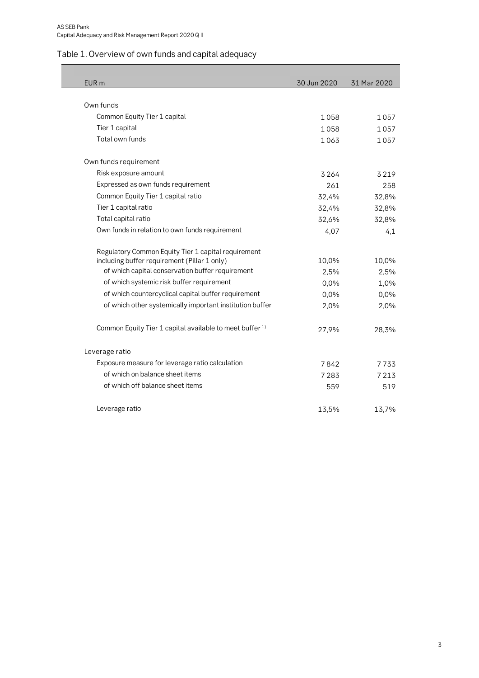# <span id="page-2-0"></span>Table 1. Overview of own funds and capital adequacy

| EUR <sub>m</sub>                                                    | 30 Jun 2020 | 31 Mar 2020 |
|---------------------------------------------------------------------|-------------|-------------|
|                                                                     |             |             |
| Own funds                                                           |             |             |
| Common Equity Tier 1 capital                                        | 1058        | 1 0 5 7     |
| Tier 1 capital                                                      | 1058        | 1057        |
| Total own funds                                                     | 1063        | 1057        |
| Own funds requirement                                               |             |             |
| Risk exposure amount                                                | 3264        | 3219        |
| Expressed as own funds requirement                                  | 261         | 258         |
| Common Equity Tier 1 capital ratio                                  | 32,4%       | 32,8%       |
| Tier 1 capital ratio                                                | 32,4%       | 32,8%       |
| Total capital ratio                                                 | 32,6%       | 32,8%       |
| Own funds in relation to own funds requirement                      | 4,07        | 4,1         |
| Regulatory Common Equity Tier 1 capital requirement                 |             |             |
| including buffer requirement (Pillar 1 only)                        | 10,0%       | 10,0%       |
| of which capital conservation buffer requirement                    | 2,5%        | 2,5%        |
| of which systemic risk buffer requirement                           | 0,0%        | 1,0%        |
| of which countercyclical capital buffer requirement                 | 0,0%        | 0,0%        |
| of which other systemically important institution buffer            | 2,0%        | 2,0%        |
| Common Equity Tier 1 capital available to meet buffer <sup>1)</sup> | 27,9%       | 28,3%       |
| Leverage ratio                                                      |             |             |
| Exposure measure for leverage ratio calculation                     | 7842        | 7733        |
| of which on balance sheet items                                     | 7283        | 7213        |
| of which off balance sheet items                                    | 559         | 519         |
| Leverage ratio                                                      | 13,5%       | 13,7%       |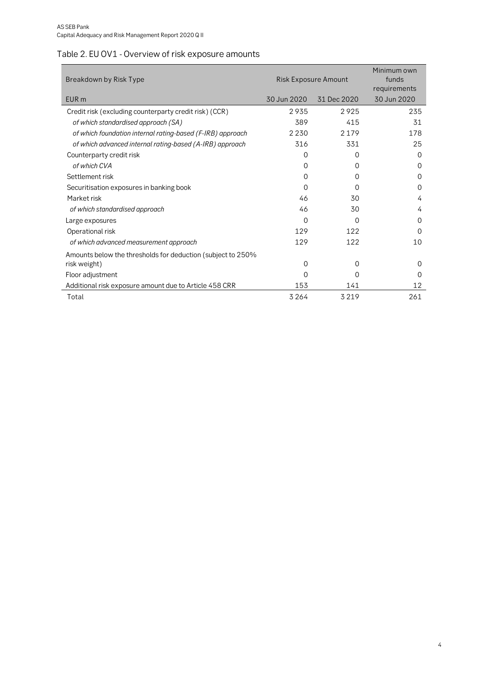# <span id="page-3-0"></span>Table 2. EU OV1 - Overview of risk exposure amounts

| Breakdown by Risk Type                                      | Risk Exposure Amount | Minimum own<br>funds<br>requirements |             |
|-------------------------------------------------------------|----------------------|--------------------------------------|-------------|
| EUR <sub>m</sub>                                            | 30 Jun 2020          | 31 Dec 2020                          | 30 Jun 2020 |
| Credit risk (excluding counterparty credit risk) (CCR)      | 2935                 | 2925                                 | 235         |
| of which standardised approach (SA)                         | 389                  | 415                                  | 31          |
| of which foundation internal rating-based (F-IRB) approach  | 2 2 3 0              | 2179                                 | 178         |
| of which advanced internal rating-based (A-IRB) approach    | 316                  | 331                                  | 25          |
| Counterparty credit risk                                    | 0                    | 0                                    | $\Omega$    |
| of which CVA                                                | 0                    | 0                                    | 0           |
| Settlement risk                                             | 0                    | 0                                    | $\Omega$    |
| Securitisation exposures in banking book                    | 0                    | 0                                    | $\Omega$    |
| Market risk                                                 | 46                   | 30                                   | 4           |
| of which standardised approach                              | 46                   | 30                                   | 4           |
| Large exposures                                             | 0                    | 0                                    | $\Omega$    |
| Operational risk                                            | 129                  | 122                                  | $\Omega$    |
| of which advanced measurement approach                      | 129                  | 122                                  | 10          |
| Amounts below the thresholds for deduction (subject to 250% |                      |                                      |             |
| risk weight)                                                | 0                    | 0                                    | 0           |
| Floor adjustment                                            | 0                    | 0                                    | $\Omega$    |
| Additional risk exposure amount due to Article 458 CRR      | 153                  | 141                                  | 12          |
| Total                                                       | 3264                 | 3219                                 | 261         |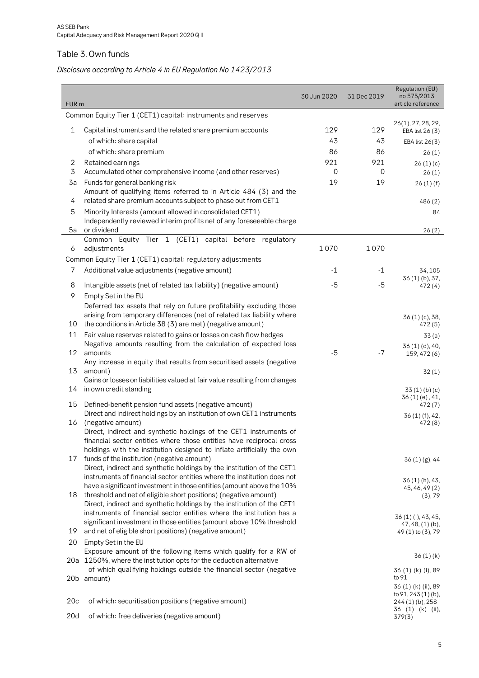#### <span id="page-4-0"></span>Table 3. Own funds

# *Disclosure according to Article 4 in EU Regulation No 1423/2013*

| EUR <sub>m</sub> |                                                                                                                                                   | 30 Jun 2020 | 31 Dec 2019 | Regulation (EU)<br>no 575/2013<br>article reference |
|------------------|---------------------------------------------------------------------------------------------------------------------------------------------------|-------------|-------------|-----------------------------------------------------|
|                  | Common Equity Tier 1 (CET1) capital: instruments and reserves                                                                                     |             |             |                                                     |
| 1                | Capital instruments and the related share premium accounts                                                                                        | 129         | 129         | 26(1), 27, 28, 29,<br>EBA list 26 (3)               |
|                  | of which: share capital                                                                                                                           | 43          | 43          | EBA list 26(3)                                      |
|                  | of which: share premium                                                                                                                           | 86          | 86          | 26(1)                                               |
| 2                | Retained earnings                                                                                                                                 | 921         | 921         | 26(1)(c)                                            |
| 3                | Accumulated other comprehensive income (and other reserves)                                                                                       | 0           | 0           | 26(1)                                               |
| 3a               | Funds for general banking risk<br>Amount of qualifying items referred to in Article 484 (3) and the                                               | 19          | 19          | 26(1)(f)                                            |
| 4                | related share premium accounts subject to phase out from CET1                                                                                     |             |             | 486(2)                                              |
| 5                | Minority Interests (amount allowed in consolidated CET1)<br>Independently reviewed interim profits net of any foreseeable charge                  |             |             | 84                                                  |
| 5a               | or dividend<br>Common Equity Tier 1 (CET1) capital before regulatory                                                                              |             |             | 26(2)                                               |
| 6                | adjustments                                                                                                                                       | 1070        | 1070        |                                                     |
|                  | Common Equity Tier 1 (CET1) capital: regulatory adjustments                                                                                       |             |             |                                                     |
| 7                | Additional value adjustments (negative amount)                                                                                                    | $-1$        | $-1$        | 34, 105                                             |
| 8                | Intangible assets (net of related tax liability) (negative amount)                                                                                | $-5$        | -5          | 36(1)(b), 37,<br>472(4)                             |
| 9                | Empty Set in the EU                                                                                                                               |             |             |                                                     |
|                  | Deferred tax assets that rely on future profitability excluding those                                                                             |             |             |                                                     |
|                  | arising from temporary differences (net of related tax liability where                                                                            |             |             | 36 (1) (c), 38,                                     |
| 10               | the conditions in Article 38 (3) are met) (negative amount)                                                                                       |             |             | 472 (5)                                             |
| 11               | Fair value reserves related to gains or losses on cash flow hedges<br>Negative amounts resulting from the calculation of expected loss            |             |             | 33(a)                                               |
| 12               | amounts                                                                                                                                           | $-5$        | $-7$        | 36 (1) (d), 40,<br>159, 472 (6)                     |
| 13               | Any increase in equity that results from securitised assets (negative<br>amount)                                                                  |             |             | 32(1)                                               |
|                  | Gains or losses on liabilities valued at fair value resulting from changes                                                                        |             |             |                                                     |
| 14               | in own credit standing                                                                                                                            |             |             | 33(1)(b)(c)<br>$36(1)(e)$ , 41,                     |
| 15               | Defined-benefit pension fund assets (negative amount)                                                                                             |             |             | 472(7)                                              |
|                  | Direct and indirect holdings by an institution of own CET1 instruments                                                                            |             |             | 36(1)(f), 42,                                       |
| 16               | (negative amount)<br>Direct, indirect and synthetic holdings of the CET1 instruments of                                                           |             |             | 472(8)                                              |
|                  | financial sector entities where those entities have reciprocal cross                                                                              |             |             |                                                     |
|                  | holdings with the institution designed to inflate artificially the own                                                                            |             |             |                                                     |
| 17               | funds of the institution (negative amount)                                                                                                        |             |             | 36(1)(g), 44                                        |
|                  | Direct, indirect and synthetic holdings by the institution of the CET1<br>instruments of financial sector entities where the institution does not |             |             |                                                     |
|                  | have a significant investment in those entities (amount above the 10%                                                                             |             |             | 36 (1) (h), 43,<br>45, 46, 49 (2)                   |
| 18               | threshold and net of eligible short positions) (negative amount)                                                                                  |             |             | (3), 79                                             |
|                  | Direct, indirect and synthetic holdings by the institution of the CET1                                                                            |             |             |                                                     |
|                  | instruments of financial sector entities where the institution has a<br>significant investment in those entities (amount above 10% threshold      |             |             | 36 (1) (i), 43, 45,                                 |
| 19               | and net of eligible short positions) (negative amount)                                                                                            |             |             | $47, 48, (1)$ (b),<br>49 (1) to (3), 79             |
| 20               | Empty Set in the EU                                                                                                                               |             |             |                                                     |
|                  | Exposure amount of the following items which qualify for a RW of<br>20a 1250%, where the institution opts for the deduction alternative           |             |             | 36(1)(k)                                            |
|                  | of which qualifying holdings outside the financial sector (negative                                                                               |             |             | 36 (1) (k) (i), 89                                  |
|                  | 20b amount)                                                                                                                                       |             |             | to 91<br>36 (1) (k) (ii), 89                        |
| 20c              | of which: securitisation positions (negative amount)                                                                                              |             |             | to 91, 243 (1) (b),<br>244 (1) (b), 258             |
| 20d              | of which: free deliveries (negative amount)                                                                                                       |             |             | 36 (1) (k) (ii),<br>379(3)                          |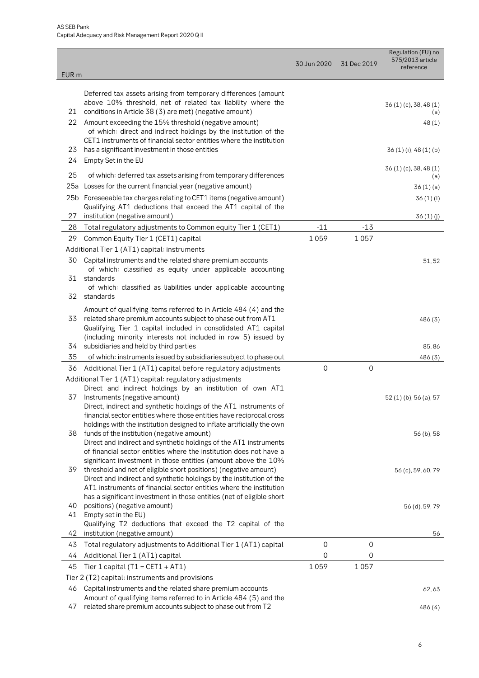| EUR <sub>m</sub> |                                                                                                                                                                                                     | 30 Jun 2020 | 31 Dec 2019         | Regulation (EU) no<br>575/2013 article<br>reference |
|------------------|-----------------------------------------------------------------------------------------------------------------------------------------------------------------------------------------------------|-------------|---------------------|-----------------------------------------------------|
|                  | Deferred tax assets arising from temporary differences (amount                                                                                                                                      |             |                     |                                                     |
| 21               | above 10% threshold, net of related tax liability where the<br>conditions in Article 38 (3) are met) (negative amount)                                                                              |             |                     | $36(1)(c)$ , 38, 48 $(1)$<br>(a)                    |
| 22               | Amount exceeding the 15% threshold (negative amount)<br>of which: direct and indirect holdings by the institution of the                                                                            |             |                     | 48(1)                                               |
|                  | CET1 instruments of financial sector entities where the institution                                                                                                                                 |             |                     |                                                     |
| 23<br>24         | has a significant investment in those entities<br>Empty Set in the EU                                                                                                                               |             |                     | $36(1)(i)$ , 48 $(1)(b)$                            |
| 25               | of which: deferred tax assets arising from temporary differences                                                                                                                                    |             |                     | $36(1)(c)$ , 38, 48 $(1)$<br>(a)                    |
| 25a              | Losses for the current financial year (negative amount)                                                                                                                                             |             |                     | 36(1)(a)                                            |
|                  | 25b Foreseeable tax charges relating to CET1 items (negative amount)                                                                                                                                |             |                     | 36(1)(l)                                            |
| 27               | Qualifying AT1 deductions that exceed the AT1 capital of the<br>institution (negative amount)                                                                                                       |             |                     | 36 (1) (j)                                          |
| 28               | Total regulatory adjustments to Common equity Tier 1 (CET1)                                                                                                                                         | $-11$       | $-13$               |                                                     |
| 29               | Common Equity Tier 1 (CET1) capital                                                                                                                                                                 | 1059        | 1057                |                                                     |
|                  | Additional Tier 1 (AT1) capital: instruments                                                                                                                                                        |             |                     |                                                     |
| 30               | Capital instruments and the related share premium accounts<br>of which: classified as equity under applicable accounting                                                                            |             |                     | 51,52                                               |
| 31               | standards                                                                                                                                                                                           |             |                     |                                                     |
| 32               | of which: classified as liabilities under applicable accounting<br>standards                                                                                                                        |             |                     |                                                     |
| 33               | Amount of qualifying items referred to in Article 484 (4) and the<br>related share premium accounts subject to phase out from AT1<br>Qualifying Tier 1 capital included in consolidated AT1 capital |             |                     | 486(3)                                              |
| 34               | (including minority interests not included in row 5) issued by<br>subsidiaries and held by third parties                                                                                            |             |                     | 85,86                                               |
| 35               | of which: instruments issued by subsidiaries subject to phase out                                                                                                                                   |             |                     | 486(3)                                              |
| 36               | Additional Tier 1 (AT1) capital before regulatory adjustments                                                                                                                                       | $\mathbf 0$ | $\mathsf{O}\xspace$ |                                                     |
|                  | Additional Tier 1 (AT1) capital: regulatory adjustments                                                                                                                                             |             |                     |                                                     |
|                  | Direct and indirect holdings by an institution of own AT1                                                                                                                                           |             |                     |                                                     |
| 37               | Instruments (negative amount)<br>Direct, indirect and synthetic holdings of the AT1 instruments of                                                                                                  |             |                     | 52 (1) (b), 56 (a), 57                              |
|                  | financial sector entities where those entities have reciprocal cross                                                                                                                                |             |                     |                                                     |
|                  | holdings with the institution designed to inflate artificially the own                                                                                                                              |             |                     |                                                     |
| 38               | funds of the institution (negative amount)                                                                                                                                                          |             |                     | 56 (b), 58                                          |
|                  | Direct and indirect and synthetic holdings of the AT1 instruments<br>of financial sector entities where the institution does not have a                                                             |             |                     |                                                     |
|                  | significant investment in those entities (amount above the 10%                                                                                                                                      |             |                     |                                                     |
| 39               | threshold and net of eligible short positions) (negative amount)                                                                                                                                    |             |                     | 56 (c), 59, 60, 79                                  |
|                  | Direct and indirect and synthetic holdings by the institution of the<br>AT1 instruments of financial sector entities where the institution                                                          |             |                     |                                                     |
|                  | has a significant investment in those entities (net of eligible short                                                                                                                               |             |                     |                                                     |
| 40               | positions) (negative amount)                                                                                                                                                                        |             |                     | 56 (d), 59, 79                                      |
| 41               | Empty set in the EU)                                                                                                                                                                                |             |                     |                                                     |
| 42               | Qualifying T2 deductions that exceed the T2 capital of the<br>institution (negative amount)                                                                                                         |             |                     | 56                                                  |
| 43               | Total regulatory adjustments to Additional Tier 1 (AT1) capital                                                                                                                                     | 0           | 0                   |                                                     |
| 44               | Additional Tier 1 (AT1) capital                                                                                                                                                                     | 0           | 0                   |                                                     |
| 45               | Tier 1 capital ( $T1 = CET1 + AT1$ )                                                                                                                                                                | 1059        | 1057                |                                                     |
|                  | Tier 2 (T2) capital: instruments and provisions                                                                                                                                                     |             |                     |                                                     |
| 46               | Capital instruments and the related share premium accounts                                                                                                                                          |             |                     | 62,63                                               |
|                  | Amount of qualifying items referred to in Article 484 (5) and the                                                                                                                                   |             |                     |                                                     |
| 47               | related share premium accounts subject to phase out from T2                                                                                                                                         |             |                     | 486 (4)                                             |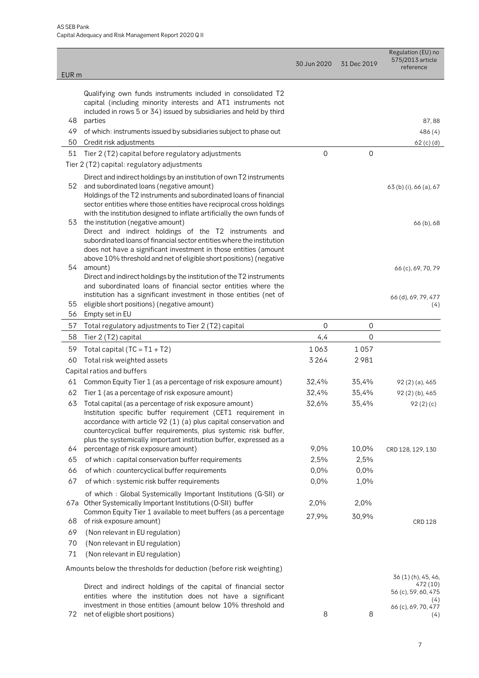| EUR <sub>m</sub> |                                                                                                                                                                                                                                                                                                                                         | 30 Jun 2020 | 31 Dec 2019    | Regulation (EU) no<br>575/2013 article<br>reference           |
|------------------|-----------------------------------------------------------------------------------------------------------------------------------------------------------------------------------------------------------------------------------------------------------------------------------------------------------------------------------------|-------------|----------------|---------------------------------------------------------------|
|                  | Qualifying own funds instruments included in consolidated T2<br>capital (including minority interests and AT1 instruments not<br>included in rows 5 or 34) issued by subsidiaries and held by third                                                                                                                                     |             |                |                                                               |
| 48               | parties                                                                                                                                                                                                                                                                                                                                 |             |                | 87,88                                                         |
| 49               | of which: instruments issued by subsidiaries subject to phase out                                                                                                                                                                                                                                                                       |             |                | 486 (4)                                                       |
| 50               | Credit risk adjustments                                                                                                                                                                                                                                                                                                                 |             |                | 62 (c) (d)                                                    |
| 51               | Tier 2 (T2) capital before regulatory adjustments                                                                                                                                                                                                                                                                                       | $\mathbf 0$ | $\mathbf 0$    |                                                               |
|                  | Tier 2 (T2) capital: regulatory adjustments                                                                                                                                                                                                                                                                                             |             |                |                                                               |
| 52               | Direct and indirect holdings by an institution of own T2 instruments<br>and subordinated loans (negative amount)<br>Holdings of the T2 instruments and subordinated loans of financial<br>sector entities where those entities have reciprocal cross holdings<br>with the institution designed to inflate artificially the own funds of |             |                | 63 (b) (i), 66 (a), 67                                        |
| 53               | the institution (negative amount)<br>Direct and indirect holdings of the T2 instruments and<br>subordinated loans of financial sector entities where the institution<br>does not have a significant investment in those entities (amount                                                                                                |             |                | 66 (b), 68                                                    |
| 54               | above 10% threshold and net of eligible short positions) (negative<br>amount)<br>Direct and indirect holdings by the institution of the T2 instruments<br>and subordinated loans of financial sector entities where the                                                                                                                 |             |                | 66 (c), 69, 70, 79                                            |
| 55<br>56         | institution has a significant investment in those entities (net of<br>eligible short positions) (negative amount)<br>Empty set in EU                                                                                                                                                                                                    |             |                | 66 (d), 69, 79, 477<br>(4)                                    |
| 57               | Total regulatory adjustments to Tier 2 (T2) capital                                                                                                                                                                                                                                                                                     | 0           | $\overline{0}$ |                                                               |
| 58               | Tier 2 (T2) capital                                                                                                                                                                                                                                                                                                                     | 4,4         | $\overline{0}$ |                                                               |
| 59               | Total capital ( $TC = T1 + T2$ )                                                                                                                                                                                                                                                                                                        | 1063        | 1057           |                                                               |
| 60               | Total risk weighted assets                                                                                                                                                                                                                                                                                                              | 3 2 6 4     | 2981           |                                                               |
|                  | Capital ratios and buffers                                                                                                                                                                                                                                                                                                              |             |                |                                                               |
| 61               | Common Equity Tier 1 (as a percentage of risk exposure amount)                                                                                                                                                                                                                                                                          | 32,4%       | 35,4%          | 92 (2) (a), 465                                               |
| 62               | Tier 1 (as a percentage of risk exposure amount)                                                                                                                                                                                                                                                                                        | 32,4%       | 35,4%          | 92(2)(b), 465                                                 |
| 63               | Total capital (as a percentage of risk exposure amount)<br>Institution specific buffer requirement (CET1 requirement in<br>accordance with article 92 (1) (a) plus capital conservation and<br>countercyclical buffer requirements, plus systemic risk buffer,<br>plus the systemically important institution buffer, expressed as a    | 32,6%       | 35,4%          | 92(2)(c)                                                      |
| 64               | percentage of risk exposure amount)                                                                                                                                                                                                                                                                                                     | 9,0%        | 10,0%          | CRD 128, 129, 130                                             |
| 65               | of which: capital conservation buffer requirements                                                                                                                                                                                                                                                                                      | 2,5%        | 2,5%           |                                                               |
| 66               | of which: countercyclical buffer requirements                                                                                                                                                                                                                                                                                           | 0,0%        | 0,0%           |                                                               |
| 67               | of which: systemic risk buffer requirements                                                                                                                                                                                                                                                                                             | 0,0%        | 1,0%           |                                                               |
|                  | of which: Global Systemically Important Institutions (G-SII) or<br>67a Other Systemically Important Institutions (O-SII) buffer                                                                                                                                                                                                         | 2,0%        | 2,0%           |                                                               |
| 68               | Common Equity Tier 1 available to meet buffers (as a percentage<br>of risk exposure amount)                                                                                                                                                                                                                                             | 27,9%       | 30,9%          | <b>CRD 128</b>                                                |
| 69<br>70<br>71   | (Non relevant in EU regulation)<br>(Non relevant in EU regulation)<br>(Non relevant in EU regulation)                                                                                                                                                                                                                                   |             |                |                                                               |
|                  | Amounts below the thresholds for deduction (before risk weighting)                                                                                                                                                                                                                                                                      |             |                |                                                               |
|                  | Direct and indirect holdings of the capital of financial sector<br>entities where the institution does not have a significant                                                                                                                                                                                                           |             |                | 36 (1) (h), 45, 46,<br>472 (10)<br>56 (c), 59, 60, 475<br>(4) |
| 72               | investment in those entities (amount below 10% threshold and<br>net of eligible short positions)                                                                                                                                                                                                                                        | 8           | 8              | 66 (c), 69, 70, 477<br>(4)                                    |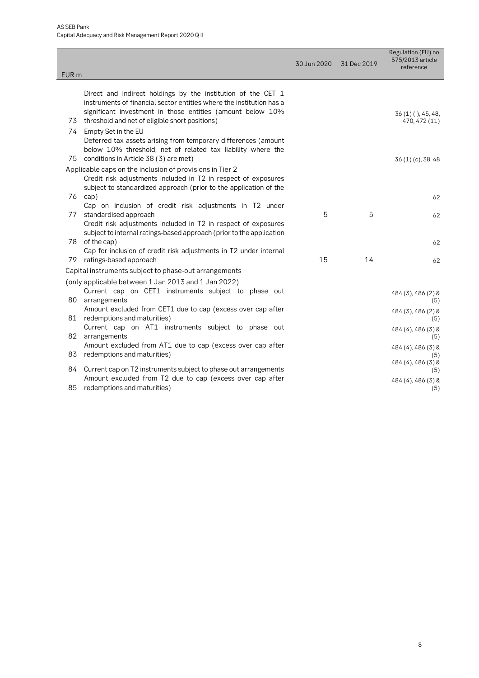| Direct and indirect holdings by the institution of the CET 1<br>instruments of financial sector entities where the institution has a<br>significant investment in those entities (amount below 10% |                                                                                                                                                                                                                                                                                                                                                                                                                                                                                                                                                                                                                                                                                                                                                                                                                                                                                                                                                                                                                                                                                                                                                                                                                                                                                                                                                                                                                         |    | reference                            |
|----------------------------------------------------------------------------------------------------------------------------------------------------------------------------------------------------|-------------------------------------------------------------------------------------------------------------------------------------------------------------------------------------------------------------------------------------------------------------------------------------------------------------------------------------------------------------------------------------------------------------------------------------------------------------------------------------------------------------------------------------------------------------------------------------------------------------------------------------------------------------------------------------------------------------------------------------------------------------------------------------------------------------------------------------------------------------------------------------------------------------------------------------------------------------------------------------------------------------------------------------------------------------------------------------------------------------------------------------------------------------------------------------------------------------------------------------------------------------------------------------------------------------------------------------------------------------------------------------------------------------------------|----|--------------------------------------|
|                                                                                                                                                                                                    |                                                                                                                                                                                                                                                                                                                                                                                                                                                                                                                                                                                                                                                                                                                                                                                                                                                                                                                                                                                                                                                                                                                                                                                                                                                                                                                                                                                                                         |    |                                      |
|                                                                                                                                                                                                    |                                                                                                                                                                                                                                                                                                                                                                                                                                                                                                                                                                                                                                                                                                                                                                                                                                                                                                                                                                                                                                                                                                                                                                                                                                                                                                                                                                                                                         |    |                                      |
|                                                                                                                                                                                                    |                                                                                                                                                                                                                                                                                                                                                                                                                                                                                                                                                                                                                                                                                                                                                                                                                                                                                                                                                                                                                                                                                                                                                                                                                                                                                                                                                                                                                         |    | 36 (1) (i), 45, 48,<br>470, 472 (11) |
|                                                                                                                                                                                                    |                                                                                                                                                                                                                                                                                                                                                                                                                                                                                                                                                                                                                                                                                                                                                                                                                                                                                                                                                                                                                                                                                                                                                                                                                                                                                                                                                                                                                         |    |                                      |
|                                                                                                                                                                                                    |                                                                                                                                                                                                                                                                                                                                                                                                                                                                                                                                                                                                                                                                                                                                                                                                                                                                                                                                                                                                                                                                                                                                                                                                                                                                                                                                                                                                                         |    | 36 (1) (c), 38, 48                   |
|                                                                                                                                                                                                    |                                                                                                                                                                                                                                                                                                                                                                                                                                                                                                                                                                                                                                                                                                                                                                                                                                                                                                                                                                                                                                                                                                                                                                                                                                                                                                                                                                                                                         |    |                                      |
|                                                                                                                                                                                                    |                                                                                                                                                                                                                                                                                                                                                                                                                                                                                                                                                                                                                                                                                                                                                                                                                                                                                                                                                                                                                                                                                                                                                                                                                                                                                                                                                                                                                         |    |                                      |
|                                                                                                                                                                                                    |                                                                                                                                                                                                                                                                                                                                                                                                                                                                                                                                                                                                                                                                                                                                                                                                                                                                                                                                                                                                                                                                                                                                                                                                                                                                                                                                                                                                                         |    | 62                                   |
|                                                                                                                                                                                                    |                                                                                                                                                                                                                                                                                                                                                                                                                                                                                                                                                                                                                                                                                                                                                                                                                                                                                                                                                                                                                                                                                                                                                                                                                                                                                                                                                                                                                         |    |                                      |
|                                                                                                                                                                                                    | 5                                                                                                                                                                                                                                                                                                                                                                                                                                                                                                                                                                                                                                                                                                                                                                                                                                                                                                                                                                                                                                                                                                                                                                                                                                                                                                                                                                                                                       | 5  | 62                                   |
|                                                                                                                                                                                                    |                                                                                                                                                                                                                                                                                                                                                                                                                                                                                                                                                                                                                                                                                                                                                                                                                                                                                                                                                                                                                                                                                                                                                                                                                                                                                                                                                                                                                         |    |                                      |
|                                                                                                                                                                                                    |                                                                                                                                                                                                                                                                                                                                                                                                                                                                                                                                                                                                                                                                                                                                                                                                                                                                                                                                                                                                                                                                                                                                                                                                                                                                                                                                                                                                                         |    |                                      |
|                                                                                                                                                                                                    |                                                                                                                                                                                                                                                                                                                                                                                                                                                                                                                                                                                                                                                                                                                                                                                                                                                                                                                                                                                                                                                                                                                                                                                                                                                                                                                                                                                                                         |    | 62                                   |
|                                                                                                                                                                                                    | 15                                                                                                                                                                                                                                                                                                                                                                                                                                                                                                                                                                                                                                                                                                                                                                                                                                                                                                                                                                                                                                                                                                                                                                                                                                                                                                                                                                                                                      | 14 | 62                                   |
|                                                                                                                                                                                                    |                                                                                                                                                                                                                                                                                                                                                                                                                                                                                                                                                                                                                                                                                                                                                                                                                                                                                                                                                                                                                                                                                                                                                                                                                                                                                                                                                                                                                         |    |                                      |
|                                                                                                                                                                                                    |                                                                                                                                                                                                                                                                                                                                                                                                                                                                                                                                                                                                                                                                                                                                                                                                                                                                                                                                                                                                                                                                                                                                                                                                                                                                                                                                                                                                                         |    |                                      |
|                                                                                                                                                                                                    |                                                                                                                                                                                                                                                                                                                                                                                                                                                                                                                                                                                                                                                                                                                                                                                                                                                                                                                                                                                                                                                                                                                                                                                                                                                                                                                                                                                                                         |    | 484 (3), 486 (2) &                   |
|                                                                                                                                                                                                    |                                                                                                                                                                                                                                                                                                                                                                                                                                                                                                                                                                                                                                                                                                                                                                                                                                                                                                                                                                                                                                                                                                                                                                                                                                                                                                                                                                                                                         |    | (5)                                  |
|                                                                                                                                                                                                    |                                                                                                                                                                                                                                                                                                                                                                                                                                                                                                                                                                                                                                                                                                                                                                                                                                                                                                                                                                                                                                                                                                                                                                                                                                                                                                                                                                                                                         |    | 484 (3), 486 (2) &                   |
|                                                                                                                                                                                                    |                                                                                                                                                                                                                                                                                                                                                                                                                                                                                                                                                                                                                                                                                                                                                                                                                                                                                                                                                                                                                                                                                                                                                                                                                                                                                                                                                                                                                         |    | (5)                                  |
|                                                                                                                                                                                                    |                                                                                                                                                                                                                                                                                                                                                                                                                                                                                                                                                                                                                                                                                                                                                                                                                                                                                                                                                                                                                                                                                                                                                                                                                                                                                                                                                                                                                         |    | 484 (4), 486 (3) &<br>(5)            |
|                                                                                                                                                                                                    |                                                                                                                                                                                                                                                                                                                                                                                                                                                                                                                                                                                                                                                                                                                                                                                                                                                                                                                                                                                                                                                                                                                                                                                                                                                                                                                                                                                                                         |    | 484 (4), 486 (3) &<br>(5)            |
|                                                                                                                                                                                                    |                                                                                                                                                                                                                                                                                                                                                                                                                                                                                                                                                                                                                                                                                                                                                                                                                                                                                                                                                                                                                                                                                                                                                                                                                                                                                                                                                                                                                         |    | 484 (4), 486 (3) &<br>(5)            |
|                                                                                                                                                                                                    |                                                                                                                                                                                                                                                                                                                                                                                                                                                                                                                                                                                                                                                                                                                                                                                                                                                                                                                                                                                                                                                                                                                                                                                                                                                                                                                                                                                                                         |    | 484 (4), 486 (3) &<br>(5)            |
|                                                                                                                                                                                                    | threshold and net of eligible short positions)<br>Empty Set in the EU<br>Deferred tax assets arising from temporary differences (amount<br>below 10% threshold, net of related tax liability where the<br>conditions in Article 38 (3) are met)<br>Applicable caps on the inclusion of provisions in Tier 2<br>Credit risk adjustments included in T2 in respect of exposures<br>subject to standardized approach (prior to the application of the<br>Cap on inclusion of credit risk adjustments in T2 under<br>standardised approach<br>Credit risk adjustments included in T2 in respect of exposures<br>subject to internal ratings-based approach (prior to the application<br>of the cap)<br>Cap for inclusion of credit risk adjustments in T2 under internal<br>ratings-based approach<br>Capital instruments subject to phase-out arrangements<br>(only applicable between 1 Jan 2013 and 1 Jan 2022)<br>Current cap on CET1 instruments subject to phase out<br>arrangements<br>Amount excluded from CET1 due to cap (excess over cap after<br>redemptions and maturities)<br>Current cap on AT1 instruments subject to phase out<br>arrangements<br>Amount excluded from AT1 due to cap (excess over cap after<br>redemptions and maturities)<br>Current cap on T2 instruments subject to phase out arrangements<br>Amount excluded from T2 due to cap (excess over cap after<br>redemptions and maturities) |    |                                      |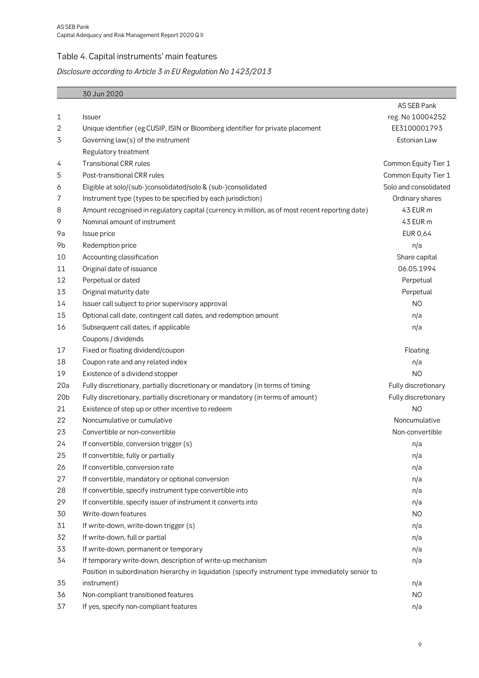### <span id="page-8-0"></span>Table 4. Capital instruments' main features

# *Disclosure according to Article 3 in EU Regulation No 1423/2013*

|                 | 30 Jun 2020                                                                                       |                       |
|-----------------|---------------------------------------------------------------------------------------------------|-----------------------|
|                 |                                                                                                   | AS SEB Pank           |
| 1               | <b>Issuer</b>                                                                                     | reg. No 10004252      |
| 2               | Unique identifier (eg CUSIP, ISIN or Bloomberg identifier for private placement                   | EE3100001793          |
| 3               | Governing law(s) of the instrument                                                                | Estonian Law          |
|                 | Regulatory treatment                                                                              |                       |
| 4               | <b>Transitional CRR rules</b>                                                                     | Common Equity Tier 1  |
| 5               | Post-transitional CRR rules                                                                       | Common Equity Tier 1  |
| 6               | Eligible at solo/(sub-)consolidated/solo & (sub-)consolidated                                     | Solo and consolidated |
| 7               | Instrument type (types to be specified by each jurisdiction)                                      | Ordinary shares       |
| 8               | Amount recognised in regulatory capital (currency in million, as of most recent reporting date)   | 43 EUR m              |
| 9               | Nominal amount of instrument                                                                      | 43 EUR m              |
| 9a              | Issue price                                                                                       | EUR 0,64              |
| 9b              | Redemption price                                                                                  | n/a                   |
| 10              | Accounting classification                                                                         | Share capital         |
| 11              | Original date of issuance                                                                         | 06.05.1994            |
| 12              | Perpetual or dated                                                                                | Perpetual             |
| 13              | Original maturity date                                                                            | Perpetual             |
| 14              | Issuer call subject to prior supervisory approval                                                 | N <sub>O</sub>        |
| 15              | Optional call date, contingent call dates, and redemption amount                                  | n/a                   |
| 16              | Subsequent call dates, if applicable                                                              | n/a                   |
|                 | Coupons / dividends                                                                               |                       |
| 17              | Fixed or floating dividend/coupon                                                                 | Floating              |
| 18              | Coupon rate and any related index                                                                 | n/a                   |
| 19              | Existence of a dividend stopper                                                                   | N <sub>O</sub>        |
| 20a             | Fully discretionary, partially discretionary or mandatory (in terms of timing                     | Fully discretionary   |
| 20 <sub>b</sub> | Fully discretionary, partially discretionary or mandatory (in terms of amount)                    | Fully discretionary   |
| 21              | Existence of step up or other incentive to redeem                                                 | N <sub>O</sub>        |
| 22              | Noncumulative or cumulative                                                                       | Noncumulative         |
| 23              | Convertible or non-convertible                                                                    | Non-convertible       |
| 24              | If convertible, conversion trigger (s)                                                            | n/a                   |
| 25              | If convertible, fully or partially                                                                | n/a                   |
| 26              | If convertible, conversion rate                                                                   | n/a                   |
| 27              | If convertible, mandatory or optional conversion                                                  | n/a                   |
| 28              | If convertible, specify instrument type convertible into                                          | n/a                   |
| 29              | If convertible, specify issuer of instrument it converts into                                     | n/a                   |
| 30              | Write-down features                                                                               | NO                    |
| 31              | If write-down, write-down trigger (s)                                                             | n/a                   |
| 32              | If write-down, full or partial                                                                    | n/a                   |
| 33              | If write-down, permanent or temporary                                                             | n/a                   |
| 34              | If temporary write-down, description of write-up mechanism                                        | n/a                   |
|                 | Position in subordination hierarchy in liquidation (specify instrument type immediately senior to |                       |
| 35              | instrument)                                                                                       | n/a                   |
| 36              | Non-compliant transitioned features                                                               | N <sub>O</sub>        |
| 37              | If yes, specify non-compliant features                                                            | n/a                   |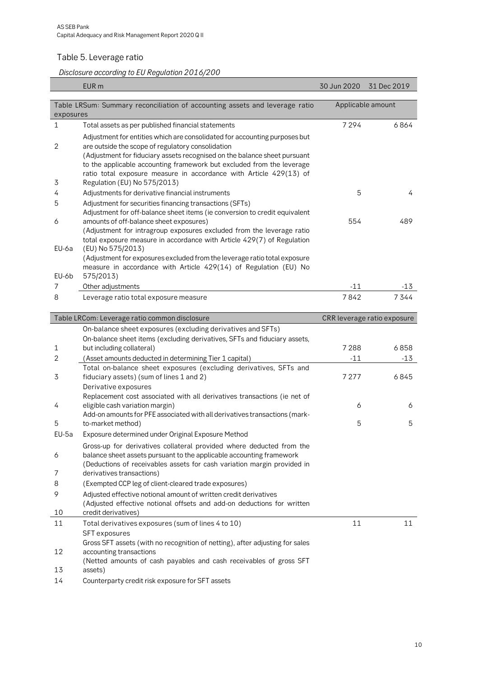### <span id="page-9-0"></span>Table 5. Leverage ratio

É

*Disclosure according to EU Regulation 2016/200*

|                | EUR <sub>m</sub>                                                                                                                                                                                                                                                                                                                                            | 30 Jun 2020      | 31 Dec 2019                 |
|----------------|-------------------------------------------------------------------------------------------------------------------------------------------------------------------------------------------------------------------------------------------------------------------------------------------------------------------------------------------------------------|------------------|-----------------------------|
|                |                                                                                                                                                                                                                                                                                                                                                             |                  |                             |
|                | Table LRSum: Summary reconciliation of accounting assets and leverage ratio                                                                                                                                                                                                                                                                                 |                  | Applicable amount           |
| exposures      |                                                                                                                                                                                                                                                                                                                                                             |                  |                             |
| 1              | Total assets as per published financial statements                                                                                                                                                                                                                                                                                                          | 7294             | 6864                        |
| $\overline{2}$ | Adjustment for entities which are consolidated for accounting purposes but<br>are outside the scope of regulatory consolidation<br>(Adjustment for fiduciary assets recognised on the balance sheet pursuant<br>to the applicable accounting framework but excluded from the leverage<br>ratio total exposure measure in accordance with Article 429(13) of |                  |                             |
| 3              | Regulation (EU) No 575/2013)                                                                                                                                                                                                                                                                                                                                |                  |                             |
| 4              | Adjustments for derivative financial instruments                                                                                                                                                                                                                                                                                                            | 5                | 4                           |
| 5              | Adjustment for securities financing transactions (SFTs)<br>Adjustment for off-balance sheet items (ie conversion to credit equivalent                                                                                                                                                                                                                       |                  |                             |
| 6              | amounts of off-balance sheet exposures)<br>(Adjustment for intragroup exposures excluded from the leverage ratio<br>total exposure measure in accordance with Article 429(7) of Regulation                                                                                                                                                                  | 554              | 489                         |
| EU-6a<br>EU-6b | (EU) No 575/2013)<br>(Adjustment for exposures excluded from the leverage ratio total exposure<br>measure in accordance with Article 429(14) of Regulation (EU) No<br>575/2013)                                                                                                                                                                             |                  |                             |
| 7              | Other adjustments                                                                                                                                                                                                                                                                                                                                           | -11              | $-13$                       |
| 8              | Leverage ratio total exposure measure                                                                                                                                                                                                                                                                                                                       | 7842             | 7344                        |
|                |                                                                                                                                                                                                                                                                                                                                                             |                  |                             |
|                | Table LRCom: Leverage ratio common disclosure                                                                                                                                                                                                                                                                                                               |                  | CRR leverage ratio exposure |
|                |                                                                                                                                                                                                                                                                                                                                                             |                  |                             |
|                | On-balance sheet exposures (excluding derivatives and SFTs)                                                                                                                                                                                                                                                                                                 |                  |                             |
|                | On-balance sheet items (excluding derivatives, SFTs and fiduciary assets,                                                                                                                                                                                                                                                                                   |                  |                             |
| 1<br>2         | but including collateral)                                                                                                                                                                                                                                                                                                                                   | 7288             | 6858<br>$-13$               |
| 3              | (Asset amounts deducted in determining Tier 1 capital)<br>Total on-balance sheet exposures (excluding derivatives, SFTs and<br>fiduciary assets) (sum of lines 1 and 2)                                                                                                                                                                                     | $-11$<br>7 2 7 7 | 6845                        |
| 4              | Derivative exposures<br>Replacement cost associated with all derivatives transactions (ie net of<br>eligible cash variation margin)<br>Add-on amounts for PFE associated with all derivatives transactions (mark-                                                                                                                                           | 6                | 6                           |
| 5              | to-market method)                                                                                                                                                                                                                                                                                                                                           | 5                | 5                           |
| EU-5a          | Exposure determined under Original Exposure Method                                                                                                                                                                                                                                                                                                          |                  |                             |
| 6              | Gross-up for derivatives collateral provided where deducted from the<br>balance sheet assets pursuant to the applicable accounting framework<br>(Deductions of receivables assets for cash variation margin provided in                                                                                                                                     |                  |                             |
| 7              | derivatives transactions)                                                                                                                                                                                                                                                                                                                                   |                  |                             |
| 8              | (Exempted CCP leg of client-cleared trade exposures)                                                                                                                                                                                                                                                                                                        |                  |                             |
| 9              | Adjusted effective notional amount of written credit derivatives<br>(Adjusted effective notional offsets and add-on deductions for written                                                                                                                                                                                                                  |                  |                             |
| 10             | credit derivatives)                                                                                                                                                                                                                                                                                                                                         |                  |                             |
| 11             | Total derivatives exposures (sum of lines 4 to 10)                                                                                                                                                                                                                                                                                                          | 11               | 11                          |
| 12             | <b>SFT</b> exposures<br>Gross SFT assets (with no recognition of netting), after adjusting for sales<br>accounting transactions<br>(Netted amounts of cash payables and cash receivables of gross SFT                                                                                                                                                       |                  |                             |

14 Counterparty credit risk exposure for SFT assets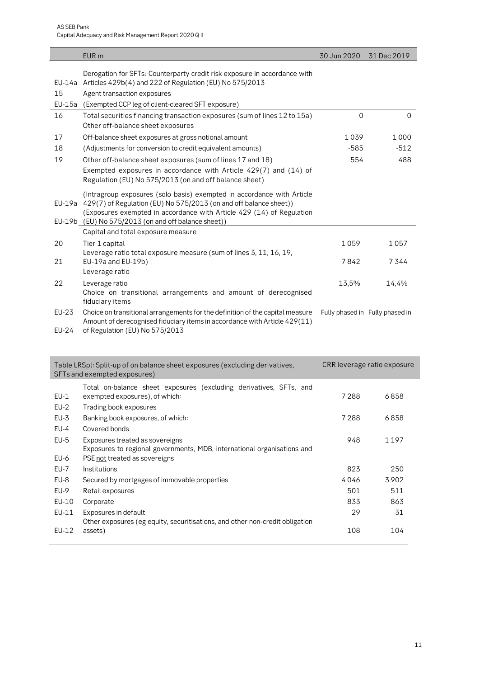|                | EUR <sub>m</sub>                                                                                                                                                                                                                                                                   | 30 Jun 2020 31 Dec 2019 |                                 |
|----------------|------------------------------------------------------------------------------------------------------------------------------------------------------------------------------------------------------------------------------------------------------------------------------------|-------------------------|---------------------------------|
| 15             | Derogation for SFTs: Counterparty credit risk exposure in accordance with<br>EU-14a Articles 429b(4) and 222 of Regulation (EU) No 575/2013<br>Agent transaction exposures                                                                                                         |                         |                                 |
| $EU-15a$       | (Exempted CCP leg of client-cleared SFT exposure)                                                                                                                                                                                                                                  |                         |                                 |
| 16             | Total securities financing transaction exposures (sum of lines 12 to 15a)<br>Other off-balance sheet exposures                                                                                                                                                                     | $\Omega$                | 0                               |
| 17             | Off-balance sheet exposures at gross notional amount                                                                                                                                                                                                                               | 1039                    | 1000                            |
| 18             | (Adjustments for conversion to credit equivalent amounts)                                                                                                                                                                                                                          | $-585$                  | $-512$                          |
| 19             | Other off-balance sheet exposures (sum of lines 17 and 18)                                                                                                                                                                                                                         | 554                     | 488                             |
|                | Exempted exposures in accordance with Article 429(7) and (14) of<br>Regulation (EU) No 575/2013 (on and off balance sheet)                                                                                                                                                         |                         |                                 |
|                | (Intragroup exposures (solo basis) exempted in accordance with Article<br>EU-19a 429(7) of Regulation (EU) No 575/2013 (on and off balance sheet))<br>(Exposures exempted in accordance with Article 429 (14) of Regulation<br>EU-19b (EU) No 575/2013 (on and off balance sheet)) |                         |                                 |
|                | Capital and total exposure measure                                                                                                                                                                                                                                                 |                         |                                 |
| 20             | Tier 1 capital<br>Leverage ratio total exposure measure (sum of lines 3, 11, 16, 19,                                                                                                                                                                                               | 1059                    | 1057                            |
| 21             | EU-19a and EU-19b)<br>Leverage ratio                                                                                                                                                                                                                                               | 7842                    | 7344                            |
| 22             | Leverage ratio<br>Choice on transitional arrangements and amount of derecognised<br>fiduciary items                                                                                                                                                                                | 13,5%                   | 14,4%                           |
| EU-23<br>EU-24 | Choice on transitional arrangements for the definition of the capital measure<br>Amount of derecognised fiduciary items in accordance with Article 429(11)<br>of Regulation (EU) No 575/2013                                                                                       |                         | Fully phased in Fully phased in |

|        | Table LRSpl: Split-up of on balance sheet exposures (excluding derivatives,<br>SFTs and exempted exposures) | CRR leverage ratio exposure |      |
|--------|-------------------------------------------------------------------------------------------------------------|-----------------------------|------|
|        | Total on-balance sheet exposures (excluding derivatives, SFTs, and                                          |                             |      |
| $EU-1$ | exempted exposures), of which:                                                                              | 7288                        | 6858 |
| $EU-2$ | Trading book exposures                                                                                      |                             |      |
| $EU-3$ | Banking book exposures, of which:                                                                           | 7288                        | 6858 |
| $EU-4$ | Covered bonds                                                                                               |                             |      |
| $EU-5$ | Exposures treated as sovereigns                                                                             | 948                         | 1197 |
|        | Exposures to regional governments, MDB, international organisations and                                     |                             |      |
| EU-6   | PSE not treated as sovereigns                                                                               |                             |      |
| EU-7   | <i><u><b>Institutions</b></u></i>                                                                           | 823                         | 250  |
| EU-8   | Secured by mortgages of immovable properties                                                                | 4046                        | 3902 |
| EU-9   | Retail exposures                                                                                            | 501                         | 511  |
| EU-10  | Corporate                                                                                                   | 833                         | 863  |
| EU-11  | Exposures in default                                                                                        | 29                          | 31   |
|        | Other exposures (eg equity, securitisations, and other non-credit obligation                                |                             |      |
| EU-12  | assets)                                                                                                     | 108                         | 104  |
|        |                                                                                                             |                             |      |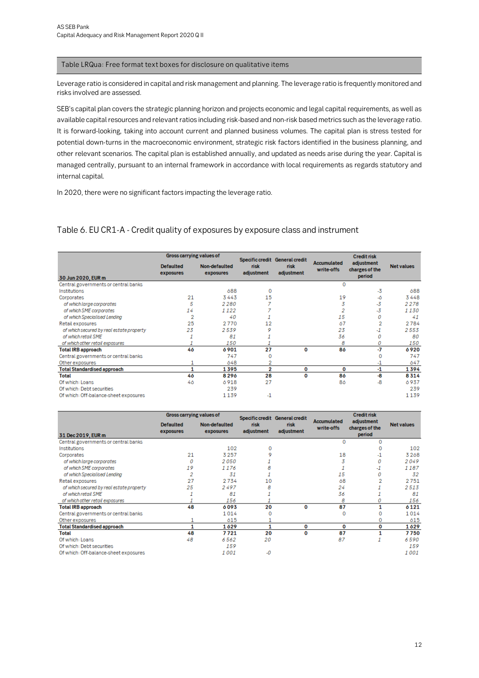#### Table LRQua: Free format text boxes for disclosure on qualitative items

Leverage ratio is considered in capital and risk management and planning. The leverage ratio is frequently monitored and risks involved are assessed.

SEB's capital plan covers the strategic planning horizon and projects economic and legal capital requirements, as well as available capital resources and relevant ratios including risk-based and non-risk based metrics such as the leverage ratio. It is forward-looking, taking into account current and planned business volumes. The capital plan is stress tested for potential down-turns in the macroeconomic environment, strategic risk factors identified in the business planning, and other relevant scenarios. The capital plan is established annually, and updated as needs arise during the year. Capital is managed centrally, pursuant to an internal framework in accordance with local requirements as regards statutory and internal capital.

In 2020, there were no significant factors impacting the leverage ratio.

#### <span id="page-11-0"></span>Table 6. EU CR1-A - Credit quality of exposures by exposure class and instrument

|                                          | <b>Gross carrying values of</b> |                            |                    | Specific credit General credit |                                  | <b>Credit risk</b>                     |                   |
|------------------------------------------|---------------------------------|----------------------------|--------------------|--------------------------------|----------------------------------|----------------------------------------|-------------------|
| 30 Jun 2020, EUR m                       | <b>Defaulted</b><br>exposures   | Non-defaulted<br>exposures | risk<br>adjustment | risk<br>adjustment             | <b>Accumulated</b><br>write-offs | adjustment<br>charges of the<br>period | <b>Net values</b> |
| Central governments or central banks     |                                 |                            |                    |                                | $\Omega$                         |                                        |                   |
| Institutions                             |                                 | 688                        | o                  |                                |                                  | $-3$                                   | 688               |
| Corporates                               | 21                              | 3443                       | 15                 |                                | 19                               | -6                                     | 3448              |
| of which large corporates                | 5                               | 2280                       |                    |                                | 3                                | $-3$                                   | 2278              |
| of which SME corporates                  | 14                              | 1122                       |                    |                                | 2                                | $-3$                                   | 1130              |
| of which Specialised Lending             | 2                               | 40                         |                    |                                | 15                               | 0                                      | 41                |
| Retail exposures                         | 25                              | 2770                       | 12                 |                                | 67                               | 2                                      | 2784              |
| of which secured by real estate property | 23                              | 2539                       |                    |                                | 23                               | -1                                     | 2553              |
| of which retail SME                      |                                 | 81                         |                    |                                | 36                               | 0                                      | 80                |
| of which other retail exposures          |                                 | 150                        |                    |                                | 8                                | 0                                      | 150               |
| <b>Total IRB approach</b>                | 46                              | 6901                       | 27                 | 0                              | 86                               | -7                                     | ó 920             |
| Central governments or central banks     |                                 | 747                        | 0                  |                                |                                  | 0                                      | 747               |
| Other exposures                          |                                 | 648                        | 2                  |                                |                                  | -1                                     | 647               |
| <b>Total Standardised approach</b>       |                                 | 1395                       | 2                  | 0                              | 0                                | -1                                     | 1394              |
| Total                                    | 46                              | 8296                       | 28                 | O                              | 86                               | -8                                     | 8314              |
| Of which: Loans                          | 46                              | 6918                       | 27                 |                                | 86                               | -8                                     | 6937              |
| Of which: Debt securities                |                                 | 239                        |                    |                                |                                  |                                        | 239               |
| Of which: Off-balance-sheet exposures    |                                 | 1139                       | $\cdot$ 1          |                                |                                  |                                        | 1139              |

|                                          | <b>Gross carrying values of</b> |                            |                    | Specific credit General credit |                           | <b>Credit risk</b>                     |                   |
|------------------------------------------|---------------------------------|----------------------------|--------------------|--------------------------------|---------------------------|----------------------------------------|-------------------|
| 31 Dec 2019, EUR m                       | <b>Defaulted</b><br>exposures   | Non-defaulted<br>exposures | risk<br>adjustment | risk<br>adjustment             | Accumulated<br>write-offs | adjustment<br>charges of the<br>period | <b>Net values</b> |
| Central governments or central banks     |                                 |                            |                    |                                |                           | $\Omega$                               |                   |
| Institutions                             |                                 | 102                        | 0                  |                                |                           | o                                      | 102               |
| Corporates                               | 21                              | 3257                       |                    |                                | 18                        | -1                                     | 3268              |
| of which large corporates                | Ω                               | 2050                       |                    |                                |                           | 0                                      | 2049              |
| of which SME corporates                  | 19                              | 1176                       |                    |                                |                           | -1                                     | 1187              |
| of which Specialised Lending             |                                 | 31                         |                    |                                | 15                        | 0                                      | 32                |
| Retail exposures                         | 27                              | 2734                       | 10                 |                                | 68                        | 2                                      | 2751              |
| of which secured by real estate property | 25                              | 2497                       | я                  |                                | 24                        |                                        | 2513              |
| of which retail SME                      |                                 | 81                         |                    |                                | 36                        |                                        | 81                |
| of which other retail exposures          |                                 | 156                        |                    |                                | 8                         |                                        | 156               |
| <b>Total IRB approach</b>                | 48                              | 6093                       | 20                 | 0                              | 87                        |                                        | 6121              |
| Central governments or central banks     |                                 | 1014                       | $\Omega$           |                                |                           |                                        | 1014              |
| Other exposures                          |                                 | 615                        |                    |                                |                           | o                                      | 615               |
| <b>Total Standardised approach</b>       |                                 | 1629                       |                    | 0                              | 0                         | 0                                      | 1629              |
| <b>Total</b>                             | 48                              | 7721                       | 20                 | O                              | 87                        |                                        | 7750              |
| Of which: Loans                          | 48                              | 6562                       | 20                 |                                | 87                        |                                        | 6590              |
| Of which: Debt securities                |                                 | 159                        |                    |                                |                           |                                        | 159               |
| Of which: Off-balance-sheet exposures    |                                 | 1001                       | -0                 |                                |                           |                                        | 1001              |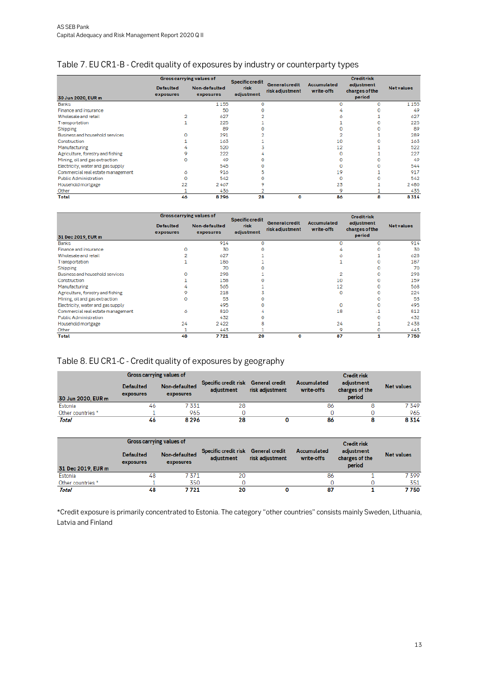#### <span id="page-12-0"></span>Table 7. EU CR1-B - Credit quality of exposures by industry or counterparty types

|                                   | <b>Gross carrying values of</b> |                                   | <b>Specific credit</b> |                                          |                                  |                                        |                  |
|-----------------------------------|---------------------------------|-----------------------------------|------------------------|------------------------------------------|----------------------------------|----------------------------------------|------------------|
| 30 Jun 2020, EUR m                | <b>Defaulted</b><br>exposures   | Non-defaulted<br><b>exposures</b> | risk<br>adjustment     | <b>General credit</b><br>risk adjustment | <b>Accumulated</b><br>write-offs | adjustment<br>charges of the<br>period | <b>Netvalues</b> |
| <b>Banks</b>                      |                                 | 1155                              | o                      |                                          | o                                |                                        | 1155             |
| Finance and insurance             |                                 | 50                                |                        |                                          |                                  |                                        | 49               |
| Wholesale and retail              |                                 | 627                               |                        |                                          |                                  |                                        | 627              |
| Transportation                    |                                 | 225                               |                        |                                          |                                  |                                        | 225              |
| Shipping                          |                                 | 89                                |                        |                                          |                                  |                                        | 89               |
| Business and household services   |                                 | 291                               |                        |                                          |                                  |                                        | 289              |
| Construction                      |                                 | 163                               |                        |                                          | 10                               |                                        | 163              |
| Manufacturing                     |                                 | 520                               |                        |                                          | 12                               |                                        | 522              |
| Agriculture, forestry and fishing |                                 | 222                               |                        |                                          | $\Omega$                         |                                        | 227              |
| Mining, oil and gas extraction    | o                               | 49                                |                        |                                          | $\Omega$                         |                                        | 49               |
| Electricity, water and gas supply |                                 | 545                               |                        |                                          | $\Omega$                         |                                        | 544              |
| Commercial real estate management | ó                               | 91ó                               |                        |                                          | 19                               |                                        | 917              |
| <b>Public Administration</b>      | o                               | 542                               |                        |                                          | $\Omega$                         |                                        | 542              |
| Household mortgage                | 22                              | 2467                              |                        |                                          | 23                               |                                        | 2480             |
| Other                             |                                 | 436                               |                        |                                          | 9                                |                                        | 435              |
| <b>Total</b>                      | 46                              | 8296                              | 28                     | 0                                        | 86                               | 8                                      | 8314             |

|                                   | Gross carrying values of      |                            | <b>Specific credit</b> |                                          |                                  | <b>Creditrisk</b>                      |                  |
|-----------------------------------|-------------------------------|----------------------------|------------------------|------------------------------------------|----------------------------------|----------------------------------------|------------------|
| 31 Dec 2019, EUR m                | <b>Defaulted</b><br>exposures | Non-defaulted<br>exposures | risk<br>adjustment     | <b>General credit</b><br>risk adjustment | <b>Accumulated</b><br>write-offs | adjustment<br>charges of the<br>period | <b>Netvalues</b> |
| <b>Banks</b>                      |                               | 914                        | o                      |                                          | $\Omega$                         | o                                      | 914              |
| Finance and insurance             |                               | 30                         |                        |                                          |                                  |                                        | 30               |
| Wholesale and retail              |                               | 627                        |                        |                                          |                                  |                                        | 628              |
| Transportation                    |                               | 186                        |                        |                                          |                                  |                                        | 187              |
| Shipping                          |                               | 70                         |                        |                                          |                                  |                                        | 70               |
| Business and household services   |                               | 298                        |                        |                                          | 2                                |                                        | 298              |
| Construction                      |                               | 158                        |                        |                                          | 10                               |                                        | 159              |
| Manufacturing                     |                               | 565                        |                        |                                          | 12                               | o                                      | 568              |
| Agriculture, forestry and fishing |                               | 218                        |                        |                                          | $\mathbf 0$                      |                                        | 224              |
| Mining, oil and gas extraction    | ο                             | 53                         |                        |                                          |                                  |                                        | 53               |
| Electricity, water and gas supply |                               | 495                        | o                      |                                          | 0                                | o                                      | 495              |
| Commercial real estate management | ó                             | 810                        |                        |                                          | 18                               | $-1$                                   | 812              |
| <b>Public Administration</b>      |                               | 432                        | o                      |                                          |                                  | o                                      | 432              |
| Household mortgage                | 24                            | 2422                       | 8                      |                                          | 24                               |                                        | 2438             |
| Other                             |                               | 443                        |                        |                                          | 9                                | o                                      | 443              |
| <b>Total</b>                      | 48                            | 7721                       | 20                     | О                                        | 87                               |                                        | 7750             |

### <span id="page-12-1"></span>Table 8. EU CR1-C - Credit quality of exposures by geography

|                    | Gross carrying values of      |                            |                                    |                                          |                                  | <b>Credit risk</b>                     |                   |
|--------------------|-------------------------------|----------------------------|------------------------------------|------------------------------------------|----------------------------------|----------------------------------------|-------------------|
| 30 Jun 2020, EUR m | <b>Defaulted</b><br>exposures | Non-defaulted<br>exposures | Specific credit risk<br>adiustment | <b>General</b> credit<br>risk adjustment | <b>Accumulated</b><br>write-offs | adjustment<br>charges of the<br>period | <b>Net values</b> |
| Estonia            | 46                            | 7 331                      | 28                                 |                                          | 86                               |                                        | 7349              |
| Other countries *  |                               | 965                        |                                    |                                          |                                  |                                        | 965               |
| Total              | 46                            | 8296                       | 28                                 |                                          | 86                               |                                        | 8314              |

|                    | Gross carrying values of      |                            |                                    |                                          |                           |                                        |                   |
|--------------------|-------------------------------|----------------------------|------------------------------------|------------------------------------------|---------------------------|----------------------------------------|-------------------|
| 31 Dec 2019, EUR m | <b>Defaulted</b><br>exposures | Non-defaulted<br>exposures | Specific credit risk<br>adjustment | <b>General credit</b><br>risk adjustment | Accumulated<br>write-offs | adjustment<br>charges of the<br>period | <b>Net values</b> |
| Estonia            | 48                            | 7371                       | 20                                 |                                          | 86                        |                                        | 7399              |
| Other countries *  |                               | 350                        |                                    |                                          |                           |                                        | 351               |
| Total              | 48                            | 7 7 2 1                    | 20                                 |                                          | 87                        |                                        | 7750              |

\*Credit exposure is primarily concentrated to Estonia. The category "other countries" consists mainly Sweden, Lithuania, Latvia and Finland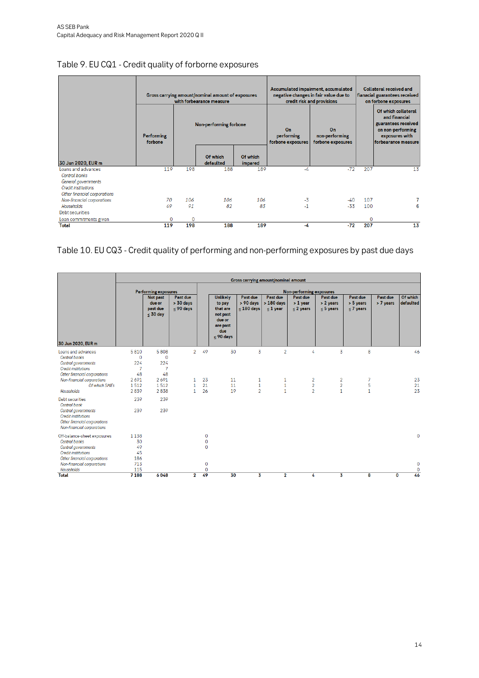|                                                                                                                          | <b>Performing</b><br>forbone |     | Gross carrying amount/nominal amount of exposures<br>with forbearance measure<br>Non-performing forbone |                     | On<br>performing<br>forbone exposures | Accumulated impairment, accumulated<br>negative changes in fair value due to<br>credit risk and provisions<br>On<br>non-performing<br>forbone exposures | <b>Collateral received and</b><br>fianacial guarantees received<br>on forbone exposures<br>Of which collateral<br>and financial<br>guarantees received<br>on non-performing<br>exposures with<br>forbearance measure |    |  |
|--------------------------------------------------------------------------------------------------------------------------|------------------------------|-----|---------------------------------------------------------------------------------------------------------|---------------------|---------------------------------------|---------------------------------------------------------------------------------------------------------------------------------------------------------|----------------------------------------------------------------------------------------------------------------------------------------------------------------------------------------------------------------------|----|--|
| 30 Jun 2020, EUR m                                                                                                       |                              |     | Of which<br>defaulted                                                                                   | Of which<br>impared |                                       |                                                                                                                                                         |                                                                                                                                                                                                                      |    |  |
| Loans and advances<br>Central banks<br>General governments<br><b>Credit institutions</b><br>Other financial corporations | 119                          | 198 | 188                                                                                                     | 189                 | -4                                    | $-72$                                                                                                                                                   | 207                                                                                                                                                                                                                  | 13 |  |
| Non-financial corporations                                                                                               | 70                           | 106 | 106                                                                                                     | 106                 | $-3$                                  | -40                                                                                                                                                     | 107                                                                                                                                                                                                                  |    |  |
| Households<br>Debt securities                                                                                            | 49                           | 91  | 82                                                                                                      | 83                  | $-1$                                  | $-33$                                                                                                                                                   | 100                                                                                                                                                                                                                  | 6  |  |
| Loan commitments given                                                                                                   | 0                            | 0   |                                                                                                         |                     |                                       |                                                                                                                                                         | 0                                                                                                                                                                                                                    |    |  |
| Total                                                                                                                    | 119                          | 198 | 188                                                                                                     | 189                 | -4                                    | $-72$                                                                                                                                                   | 207                                                                                                                                                                                                                  | 13 |  |

# <span id="page-13-0"></span>Table 9. EU CQ1 - Credit quality of forborne exposures

# <span id="page-13-1"></span>Table 10. EU CQ3 - Credit quality of performing and non-performing exposures by past due days

|                                                                                                                                                           |                               | <b>Gross carrying amount/nominal amount</b>        |                                        |                                             |                                                                                               |                                       |                                       |                                                    |                                                  |                                        |                       |                                  |
|-----------------------------------------------------------------------------------------------------------------------------------------------------------|-------------------------------|----------------------------------------------------|----------------------------------------|---------------------------------------------|-----------------------------------------------------------------------------------------------|---------------------------------------|---------------------------------------|----------------------------------------------------|--------------------------------------------------|----------------------------------------|-----------------------|----------------------------------|
|                                                                                                                                                           |                               | <b>Performing exposures</b>                        |                                        |                                             |                                                                                               |                                       |                                       | <b>Non-performing exposures</b>                    |                                                  |                                        |                       |                                  |
| 30 Jun 2020, EUR m                                                                                                                                        |                               | Not past<br>due or<br>past due<br>$\leq 30$ day    | Past due<br>$> 30$ days<br>$<$ 90 days |                                             | <b>Unlikely</b><br>to pay<br>that are<br>not past<br>due or<br>are past<br>due<br>$<$ 90 days | Past due<br>> 90 days<br>$< 180$ days | Past due<br>$>180$ days<br>$< 1$ year | Past due<br>$> 1$ year<br>$< 2$ years              | Past due<br>> 2 years<br>$< 5$ years             | Past due<br>$> 5$ years<br>$<$ 7 years | Past due<br>> 7 years | Of which<br>defaulted            |
| Loans and advances<br><b>Central banks</b><br>Central governments<br><b>Credit institutions</b><br>Other financial corporations                           | 5810<br>0<br>224<br>7<br>48   | 5808<br>$\mathbf 0$<br>224<br>$\overline{7}$<br>48 | $\overline{2}$                         | 49                                          | 30                                                                                            | 3                                     | $\overline{2}$                        | 4                                                  | 3                                                | 8                                      |                       | 46                               |
| Non-financial corporations<br>Of which SMEs<br>Households                                                                                                 | 2691<br>1512<br>2839          | 2691<br>1512<br>2838                               | 1<br>1<br>1.                           | 23<br>21<br>26                              | 11<br>11<br>19                                                                                | 1<br>$\mathbf 1$<br>$\overline{2}$    | 1<br>$\mathbf{1}$<br>$\mathbf{1}$     | $\overline{2}$<br>$\overline{2}$<br>$\overline{2}$ | $\overline{2}$<br>$\overline{2}$<br>$\mathbf{1}$ | 7<br>5<br>$\mathbf{1}$                 |                       | 23<br>21<br>23                   |
| <b>Debt securities</b><br>Central bank<br>Central governments<br><b>Credit institutions</b><br>Other financial corporations<br>Non-financial corporations | 239<br>239                    | 239<br>239                                         |                                        |                                             |                                                                                               |                                       |                                       |                                                    |                                                  |                                        |                       |                                  |
| Off-balance-sheet exposures<br>Central banks<br>Central governments<br><b>Credit institutions</b><br>Other financial corporations                         | 1138<br>30<br>49<br>45<br>186 |                                                    |                                        | $\mathbf{O}$<br>$\mathbf 0$<br>$\mathbf{0}$ |                                                                                               |                                       |                                       |                                                    |                                                  |                                        |                       | $\mathbf{0}$                     |
| Non-financial corporations<br>Households<br><b>Total</b>                                                                                                  | 713<br>115<br>7188            | 6048                                               | $\mathbf{2}$                           | 0<br>0<br>49                                | 30                                                                                            | 3                                     | $\overline{\mathbf{2}}$               | 4                                                  | 3                                                | 8                                      | 0                     | $\mathbf 0$<br>$\mathbf 0$<br>46 |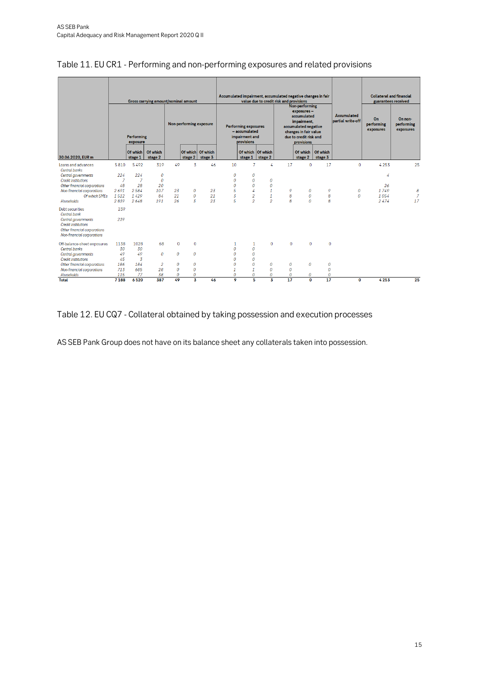|                                                                                                                                                           |                               |                     | <b>Gross carrying amount/nominal amount</b> |                                      |                         |                              | Accumulated impairment, accumulated negative changes in fair<br>value due to credit risk and provisions<br>Non-performing |                                  |                                                                                                                                   |                 | <b>Collateral and financial</b>         | guarantees received                  |                                    |      |                |
|-----------------------------------------------------------------------------------------------------------------------------------------------------------|-------------------------------|---------------------|---------------------------------------------|--------------------------------------|-------------------------|------------------------------|---------------------------------------------------------------------------------------------------------------------------|----------------------------------|-----------------------------------------------------------------------------------------------------------------------------------|-----------------|-----------------------------------------|--------------------------------------|------------------------------------|------|----------------|
|                                                                                                                                                           | <b>Performing</b><br>exposure |                     |                                             |                                      | Non-performing exposure |                              | <b>Performing exposures</b><br>- accumulated<br>impairment and<br>provisions                                              |                                  | exposures-<br>accumulated<br>impairment,<br>accumulated negative<br>changes in fair value<br>due to credit risk and<br>provisions |                 | <b>Accumulated</b><br>partial write-off | On<br>performing<br>exposures        | On non-<br>performing<br>exposures |      |                |
| 30.06.2020, EUR m                                                                                                                                         |                               | Of which<br>stage 1 | Of which<br>stage 2                         |                                      | stage 2                 | Of which Of which<br>stage 3 |                                                                                                                           | Of which Of which<br>stage 1     | stage 2                                                                                                                           |                 | Of which<br>stage 2                     | Of which<br>stage 3                  |                                    |      |                |
| Loans and advances                                                                                                                                        | 5810                          | 5492                | 319                                         | 49                                   | 3                       | 46                           | 10                                                                                                                        | 7                                | 4                                                                                                                                 | 17              | $\mathbf 0$                             | 17                                   | $\mathbf 0$                        | 4253 | 25             |
| <b>Central banks</b><br>Central governments                                                                                                               | 224                           | 224                 | $\boldsymbol{0}$                            |                                      |                         |                              | 0                                                                                                                         | 0                                |                                                                                                                                   |                 |                                         |                                      |                                    | 4    |                |
| <b>Credit institutions</b>                                                                                                                                | $\overline{7}$                | 7                   | 0                                           |                                      |                         |                              | 0                                                                                                                         | $\boldsymbol{0}$                 | 0                                                                                                                                 |                 |                                         |                                      |                                    |      |                |
| Other financial corporations                                                                                                                              | 48                            | 28                  | 20                                          |                                      |                         |                              | $\theta$                                                                                                                  | $\boldsymbol{0}$                 | 0                                                                                                                                 |                 |                                         |                                      |                                    | 26   |                |
| Non-financial corporations                                                                                                                                | 2691                          | 2584                | 107                                         | 23                                   | 0                       | 23                           | 5                                                                                                                         | 4                                | 1                                                                                                                                 | 9               | $\boldsymbol{0}$                        | 9                                    | 0                                  | 1749 | 8              |
| Of which SMEs                                                                                                                                             | 1512                          | 1429                | 84                                          | 21                                   | $\boldsymbol{0}$        | 21                           | $\overline{3}$                                                                                                            | $\overline{2}$                   | $\mathbf{1}$                                                                                                                      | 8               | $\mathcal{O}$                           | 8                                    | $\theta$                           | 1054 | $\overline{z}$ |
| Households                                                                                                                                                | 2839                          | 2648                | 191                                         | 26                                   | $\overline{3}$          | 23                           | 5                                                                                                                         | $\overline{2}$                   | $\overline{\mathcal{L}}$                                                                                                          | $\overline{R}$  | $\theta$                                | 8                                    |                                    | 2474 | 17             |
| Debt securities<br><b>Central bank</b><br>Central governments<br><b>Credit institutions</b><br>Other financial corporations<br>Non-financial corporations | 239<br>239                    |                     |                                             |                                      |                         |                              |                                                                                                                           |                                  |                                                                                                                                   |                 |                                         |                                      |                                    |      |                |
| Off-balance-sheet exposures                                                                                                                               | 1138                          | 1028                | 68                                          | $\Omega$                             | $\mathbf{0}$            |                              | 1                                                                                                                         | 1                                | $\Omega$                                                                                                                          | $\Omega$        | $\Omega$                                | $\Omega$                             |                                    |      |                |
| Central banks                                                                                                                                             | 30                            | 30                  |                                             |                                      |                         |                              | $\theta$                                                                                                                  | $\mathcal O$                     |                                                                                                                                   |                 |                                         |                                      |                                    |      |                |
| Central governments                                                                                                                                       | 49                            | 49                  | 0                                           | $\mathcal{O}$                        | $\boldsymbol{0}$        |                              | $\Omega$                                                                                                                  | $\boldsymbol{0}$                 |                                                                                                                                   |                 |                                         |                                      |                                    |      |                |
| <b>Credit institutions</b>                                                                                                                                | 45                            | $\overline{3}$      |                                             |                                      |                         |                              | 0                                                                                                                         | $\boldsymbol{0}$                 |                                                                                                                                   |                 |                                         |                                      |                                    |      |                |
| Other financial corporations<br>Non-financial corporations                                                                                                | 186<br>713                    | 184<br>685          | $\overline{a}$<br>28                        | $\boldsymbol{0}$<br>$\boldsymbol{0}$ | 0<br>$\boldsymbol{0}$   |                              | 0<br>$\mathbf{1}$                                                                                                         | $\boldsymbol{0}$<br>$\mathbf{1}$ | 0<br>0                                                                                                                            | 0<br>0          | $\boldsymbol{0}$                        | $\boldsymbol{o}$<br>$\boldsymbol{0}$ |                                    |      |                |
| Households                                                                                                                                                | 115                           | 77                  | 38                                          | 0                                    | 0                       |                              | $\boldsymbol{0}$                                                                                                          | $\boldsymbol{0}$                 | 0                                                                                                                                 | $\theta$        | 0                                       | $\boldsymbol{o}$                     |                                    |      |                |
| <b>Total</b>                                                                                                                                              | 7188                          | 6520                | 387                                         | 49                                   | $\overline{\mathbf{3}}$ | 46                           | 9                                                                                                                         | 5                                | $\overline{\mathbf{3}}$                                                                                                           | $\overline{17}$ | $\Omega$                                | $\overline{17}$                      | 0                                  | 4253 | 25             |

# <span id="page-14-0"></span>Table 11. EU CR1 - Performing and non-performing exposures and related provisions

# <span id="page-14-1"></span>Table 12. EU CQ7 - Collateral obtained by taking possession and execution processes

AS SEB Pank Group does not have on its balance sheet any collaterals taken into possession.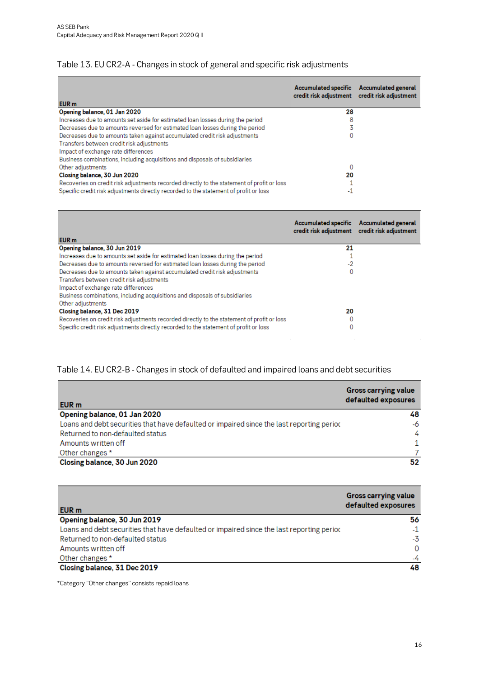## <span id="page-15-0"></span>Table 13. EU CR2-A - Changes in stock of general and specific risk adjustments

| EUR <sub>m</sub>                                                                           | <b>Accumulated specific</b><br>credit risk adjustment credit risk adjustment | <b>Accumulated general</b> |
|--------------------------------------------------------------------------------------------|------------------------------------------------------------------------------|----------------------------|
| Opening balance, 01 Jan 2020                                                               | 28                                                                           |                            |
| Increases due to amounts set aside for estimated loan losses during the period             | 8                                                                            |                            |
| Decreases due to amounts reversed for estimated loan losses during the period              |                                                                              |                            |
| Decreases due to amounts taken against accumulated credit risk adjustments                 | 0                                                                            |                            |
| Transfers between credit risk adjustments                                                  |                                                                              |                            |
| Impact of exchange rate differences                                                        |                                                                              |                            |
| Business combinations, including acquisitions and disposals of subsidiaries                |                                                                              |                            |
| Other adjustments                                                                          | 0                                                                            |                            |
| Closing balance, 30 Jun 2020                                                               | 20                                                                           |                            |
| Recoveries on credit risk adjustments recorded directly to the statement of profit or loss |                                                                              |                            |
| Specific credit risk adjustments directly recorded to the statement of profit or loss      | -1                                                                           |                            |

| EUR <sub>m</sub>                                                                           | <b>Accumulated specific</b><br>credit risk adjustment | <b>Accumulated general</b><br>credit risk adjustment |
|--------------------------------------------------------------------------------------------|-------------------------------------------------------|------------------------------------------------------|
| Opening balance, 30 Jun 2019                                                               | 21                                                    |                                                      |
| Increases due to amounts set aside for estimated loan losses during the period             |                                                       |                                                      |
| Decreases due to amounts reversed for estimated loan losses during the period              | $-2$                                                  |                                                      |
| Decreases due to amounts taken against accumulated credit risk adjustments                 | 0                                                     |                                                      |
| Transfers between credit risk adjustments                                                  |                                                       |                                                      |
| Impact of exchange rate differences                                                        |                                                       |                                                      |
| Business combinations, including acquisitions and disposals of subsidiaries                |                                                       |                                                      |
| Other adjustments                                                                          |                                                       |                                                      |
| Closing balance, 31 Dec 2019                                                               | 20                                                    |                                                      |
| Recoveries on credit risk adjustments recorded directly to the statement of profit or loss | 0                                                     |                                                      |
| Specific credit risk adjustments directly recorded to the statement of profit or loss      | 0                                                     |                                                      |

# <span id="page-15-1"></span>Table 14. EU CR2-B - Changes in stock of defaulted and impaired loans and debt securities

| EUR m                                                                                     | <b>Gross carrying value</b><br>defaulted exposures |
|-------------------------------------------------------------------------------------------|----------------------------------------------------|
| Opening balance, 01 Jan 2020                                                              | 48                                                 |
| Loans and debt securities that have defaulted or impaired since the last reporting period | -6                                                 |
| Returned to non-defaulted status                                                          | 4                                                  |
| Amounts written off                                                                       | 1.                                                 |
| Other changes *                                                                           |                                                    |
| Closing balance, 30 Jun 2020                                                              | 52                                                 |

| EUR m                                                                                     | <b>Gross carrying value</b><br>defaulted exposures |
|-------------------------------------------------------------------------------------------|----------------------------------------------------|
| Opening balance, 30 Jun 2019                                                              | 56                                                 |
| Loans and debt securities that have defaulted or impaired since the last reporting period | $-1$                                               |
| Returned to non-defaulted status                                                          | -3                                                 |
| Amounts written off                                                                       | 0                                                  |
| Other changes *                                                                           | $-4$                                               |
| Closing balance, 31 Dec 2019                                                              | 48                                                 |

\*Category "Other changes" consists repaid loans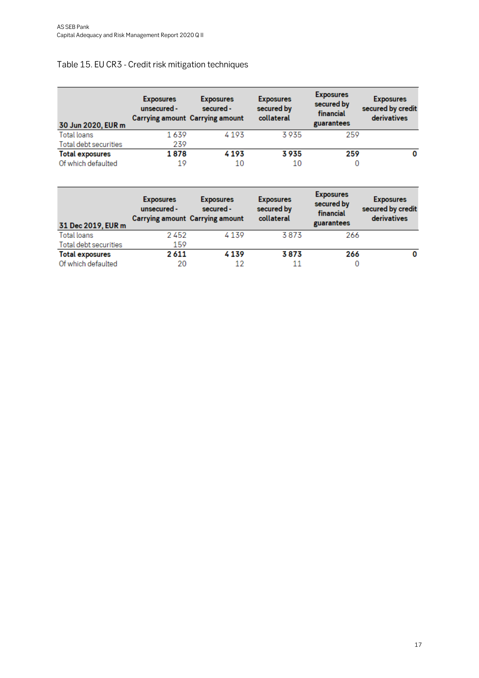# <span id="page-16-0"></span>Table 15. EU CR3 - Credit risk mitigation techniques

| 30 Jun 2020, EUR m     | <b>Exposures</b><br>unsecured - | <b>Exposures</b><br>secured -<br><b>Carrying amount Carrying amount</b> | <b>Exposures</b><br>secured by<br>collateral | <b>Exposures</b><br>secured by<br>financial<br>guarantees | <b>Exposures</b><br>secured by credit<br>derivatives |
|------------------------|---------------------------------|-------------------------------------------------------------------------|----------------------------------------------|-----------------------------------------------------------|------------------------------------------------------|
| Total loans            | 1639                            | 4193                                                                    | 3935                                         | 259                                                       |                                                      |
| Total debt securities  | 239                             |                                                                         |                                              |                                                           |                                                      |
| <b>Total exposures</b> | 1878                            | 4193                                                                    | 3935                                         | 259                                                       |                                                      |
| Of which defaulted     | 19                              | 10                                                                      | 10                                           | 0                                                         |                                                      |

| 31 Dec 2019, EUR m     | <b>Exposures</b><br>unsecured - | <b>Exposures</b><br>secured -<br><b>Carrying amount Carrying amount</b> | <b>Exposures</b><br>secured by<br>collateral | <b>Exposures</b><br>secured by<br>financial<br>guarantees | <b>Exposures</b><br>secured by credit<br>derivatives |
|------------------------|---------------------------------|-------------------------------------------------------------------------|----------------------------------------------|-----------------------------------------------------------|------------------------------------------------------|
| Total loans            | 2452                            | 4139                                                                    | 3873                                         | 266                                                       |                                                      |
| Total debt securities  | 159                             |                                                                         |                                              |                                                           |                                                      |
| <b>Total exposures</b> | 2611                            | 4139                                                                    | 3873                                         | 266                                                       | 0                                                    |
| Of which defaulted     | 20                              | 12                                                                      |                                              | 0                                                         |                                                      |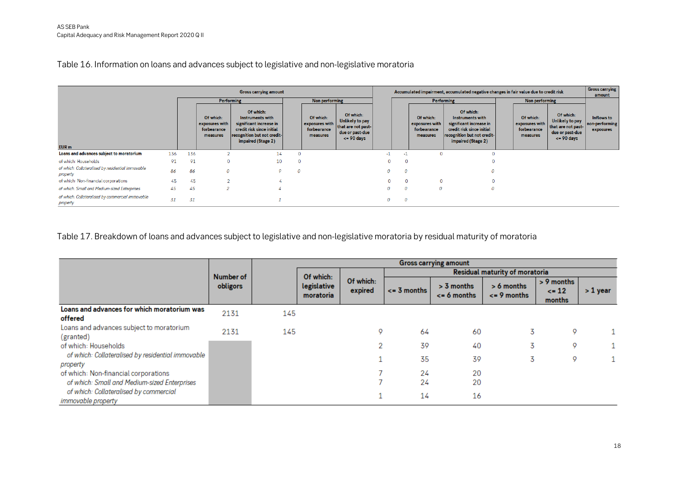Table 16. Information on loans and advances subject to legislative and non-legislative moratoria

| <b>Gross carrying amount</b>                                  |     |     |                                                        |                                                                                                                                            |          |                                                        | Accumulated impairment, accumulated negative changes in fair value due to credit risk         |                |              |                                                        | <b>Gross carrying</b><br>amount                                                                                                            |  |                                                        |                                                                                               |                                           |
|---------------------------------------------------------------|-----|-----|--------------------------------------------------------|--------------------------------------------------------------------------------------------------------------------------------------------|----------|--------------------------------------------------------|-----------------------------------------------------------------------------------------------|----------------|--------------|--------------------------------------------------------|--------------------------------------------------------------------------------------------------------------------------------------------|--|--------------------------------------------------------|-----------------------------------------------------------------------------------------------|-------------------------------------------|
| <b>Performing</b>                                             |     |     | Non performing                                         |                                                                                                                                            |          | <b>Performing</b>                                      |                                                                                               | Non performing |              |                                                        |                                                                                                                                            |  |                                                        |                                                                                               |                                           |
|                                                               |     |     | Of which:<br>exposures with<br>forbearance<br>measures | Of which:<br>Instruments with<br>significant increase in<br>credit risk since initial<br>recognition but not credit-<br>impaired (Stage 2) |          | Of which:<br>exposures with<br>forbearance<br>measures | Of which:<br>Unlikely to pay<br>that are not past-<br>due or past-due<br>$\epsilon$ = 90 days |                |              | Of which:<br>exposures with<br>forbearance<br>measures | Of which:<br>Instruments with<br>significant increase in<br>credit risk since initial<br>recognition but not credit-<br>impaired (Stage 2) |  | Of which:<br>exposures with<br>forbearance<br>measures | Of which:<br>Unlikely to pay<br>that are not past-<br>due or past-due<br>$\epsilon$ = 90 days | Inflows to<br>non-performing<br>exposures |
| EUR <sub>m</sub>                                              |     |     |                                                        |                                                                                                                                            |          |                                                        |                                                                                               |                |              |                                                        |                                                                                                                                            |  |                                                        |                                                                                               |                                           |
| Loans and advances subject to moratorium                      | 136 | 136 | 2                                                      | 14                                                                                                                                         |          |                                                        |                                                                                               | $-1$           | $\sim$       |                                                        | $\Omega$                                                                                                                                   |  |                                                        |                                                                                               |                                           |
| of which: Households                                          | 91  | 91  | $\overline{0}$                                         | 10                                                                                                                                         | $\Omega$ |                                                        |                                                                                               |                |              |                                                        |                                                                                                                                            |  |                                                        |                                                                                               |                                           |
| of which: Collateralised by residential immovable<br>property | 86  | 86  | $\theta$                                               | $\circ$                                                                                                                                    | $\Omega$ |                                                        |                                                                                               |                | $\mathcal O$ |                                                        | $\Omega$                                                                                                                                   |  |                                                        |                                                                                               |                                           |
| of which: Non-financial corporations                          | 45  | 45  | $\mathcal{P}$                                          |                                                                                                                                            |          |                                                        |                                                                                               |                |              |                                                        | 0                                                                                                                                          |  |                                                        |                                                                                               |                                           |
| of which: Small and Medium-sized Enterprises                  | 45  | 45  | $\overline{2}$                                         |                                                                                                                                            |          |                                                        |                                                                                               |                | 0            | $\Omega$                                               | $\Omega$                                                                                                                                   |  |                                                        |                                                                                               |                                           |
| of which: Collateralised by commercial immovable<br>property  | 31  | 31  |                                                        |                                                                                                                                            |          |                                                        |                                                                                               |                | 0            |                                                        |                                                                                                                                            |  |                                                        |                                                                                               |                                           |

Table 17. Breakdown of loans and advances subject to legislative and non-legislative moratoria by residual maturity of moratoria

<span id="page-17-1"></span><span id="page-17-0"></span>

|                                                               |           | <b>Gross carrying amount</b> |                          |                      |                                       |                                   |                                 |                                   |            |  |  |  |  |
|---------------------------------------------------------------|-----------|------------------------------|--------------------------|----------------------|---------------------------------------|-----------------------------------|---------------------------------|-----------------------------------|------------|--|--|--|--|
|                                                               | Number of |                              | Of which:                |                      | <b>Residual maturity of moratoria</b> |                                   |                                 |                                   |            |  |  |  |  |
|                                                               | obligors  |                              | legislative<br>moratoria | Of which:<br>expired | $\leq$ 3 months                       | $> 3$ months<br>$\leq$ = 6 months | $> 6$ months<br>$\leq$ 9 months | > 9 months<br>$\leq$ 12<br>months | $> 1$ year |  |  |  |  |
| Loans and advances for which moratorium was<br>offered        | 2131      | 145                          |                          |                      |                                       |                                   |                                 |                                   |            |  |  |  |  |
| Loans and advances subject to moratorium<br>(granted)         | 2131      | 145                          |                          | ۰                    | 64                                    | 60                                | 3                               | Q                                 |            |  |  |  |  |
| of which: Households                                          |           |                              |                          |                      | 39                                    | 40                                | 3                               | 0                                 |            |  |  |  |  |
| of which: Collateralised by residential immovable<br>property |           |                              |                          |                      | 35                                    | 39                                | 3                               | o                                 |            |  |  |  |  |
| of which: Non-financial corporations                          |           |                              |                          |                      | 24                                    | 20                                |                                 |                                   |            |  |  |  |  |
| of which: Small and Medium-sized Enterprises                  |           |                              |                          |                      | 24                                    | 20                                |                                 |                                   |            |  |  |  |  |
| of which: Collateralised by commercial<br>immovable property  |           |                              |                          |                      | 14                                    | 16                                |                                 |                                   |            |  |  |  |  |